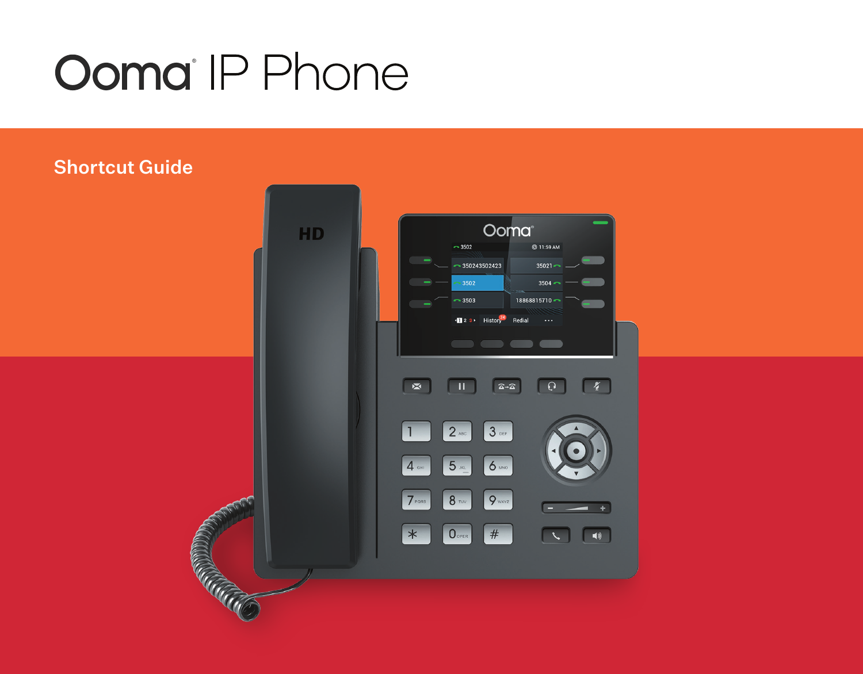# **Ooma** IP Phone

## Shortcut Guide

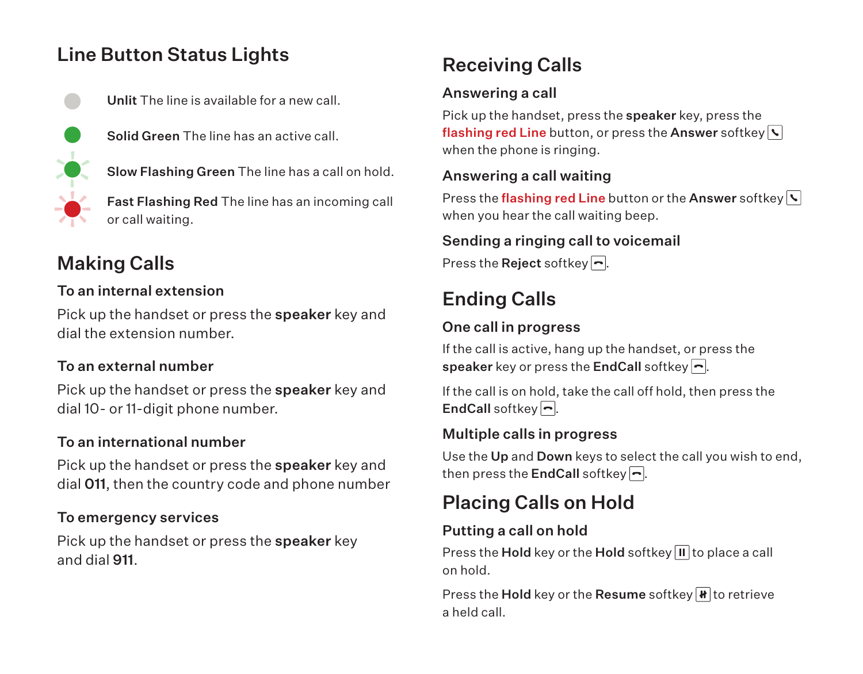## Line Button Status Lights



Unlit The line is available for a new call.

Solid Green The line has an active call.

Slow Flashing Green The line has a call on hold.

Fast Flashing Red The line has an incoming call or call waiting.

## Making Calls

## To an internal extension

Pick up the handset or press the speaker key and dial the extension number.

## To an external number

Pick up the handset or press the **speaker** key and dial 10- or 11-digit phone number.

## To an international number

Pick up the handset or press the speaker key and dial 011, then the country code and phone number

#### To emergency services

Pick up the handset or press the **speaker** key and dial 911.

## Receiving Calls

## Answering a call

Pick up the handset, press the speaker key, press the flashing red Line button, or press the Answer softkey  $\nabla$ when the phone is ringing.

## Answering a call waiting

Press the flashing red Line button or the Answer softkey  $\nabla$ when you hear the call waiting beep.

#### Sending a ringing call to voicemail

Press the Reject softkey  $\Box$ .

## Ending Calls

## One call in progress

If the call is active, hang up the handset, or press the speaker key or press the EndCall softkey  $\lceil \cdot \rceil$ .

If the call is on hold, take the call off hold, then press the EndCall softkey  $\boxed{\neg}$ .

## Multiple calls in progress

Use the Up and Down keys to select the call you wish to end, then press the **EndCall** softkey  $\Box$ .

## Placing Calls on Hold

## Putting a call on hold

Press the Hold key or the Hold softkey  $\blacksquare$  to place a call on hold.

Press the Hold key or the Resume softkey  $\mathbf{F}$  to retrieve a held call.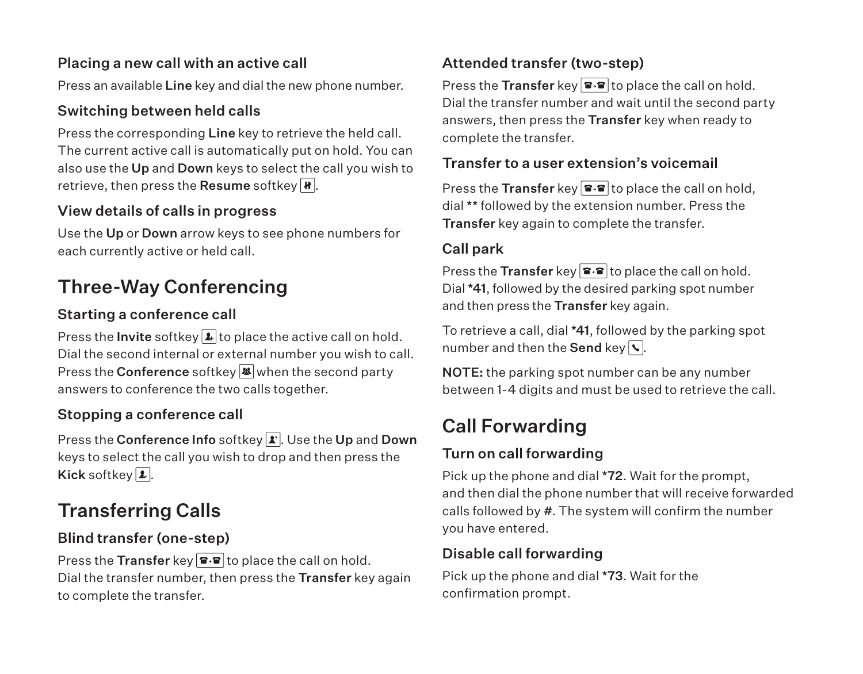#### Placing a new call with an active call

Press an available Line key and dial the new phone number.

## Switching between held calls

Press the corresponding Line key to retrieve the held call. The current active call is automatically put on hold. You can also use the Up and Down keys to select the call you wish to retrieve, then press the Resume softkey  $\mathbf{H}$ .

## View details of calls in progress

Use the Up or Down arrow keys to see phone numbers for each currently active or held call.

## Three-Way Conferencing

## Starting a conference call

Press the **Invite** softkey  $\blacktriangleright$  to place the active call on hold. Dial the second internal or external number you wish to call. Press the **Conference** softkey  $\mathbb{R}$  when the second party answers to conference the two calls together.

## Stopping a conference call

Press the Conference Info softkey **1**. Use the Up and Down keys to select the call you wish to drop and then press the Kick softkey  $\overline{\mathbf{2}}$ .

## Transferring Calls

## Blind transfer (one-step)

Press the Transfer key  $\mathbf{F} \cdot \mathbf{F}$  to place the call on hold. Dial the transfer number, then press the Transfer key again to complete the transfer.

## Attended transfer (two-step)

Press the Transfer key  $\mathbf{P} \cdot \mathbf{P}$  to place the call on hold. Dial the transfer number and wait until the second party answers, then press the Transfer key when ready to complete the transfer.

#### Transfer to a user extension's voicemail

Press the Transfer key  $\mathbf{F} \cdot \mathbf{F}$  to place the call on hold, dial \*\* followed by the extension number. Press the Transfer key again to complete the transfer.

## Call park

Press the Transfer key  $\mathbf{F} \cdot \mathbf{F}$  to place the call on hold. Dial \*41, followed by the desired parking spot number and then press the Transfer key again.

To retrieve a call, dial \*41, followed by the parking spot number and then the Send key  $\sqrt{s}$ .

NOTE: the parking spot number can be any number between 1-4 digits and must be used to retrieve the call.

## Call Forwarding

## Turn on call forwarding

Pick up the phone and dial \*72. Wait for the prompt, and then dial the phone number that will receive forwarded calls followed by #. The system will confirm the number you have entered.

## Disable call forwarding

Pick up the phone and dial \*73. Wait for the confirmation prompt.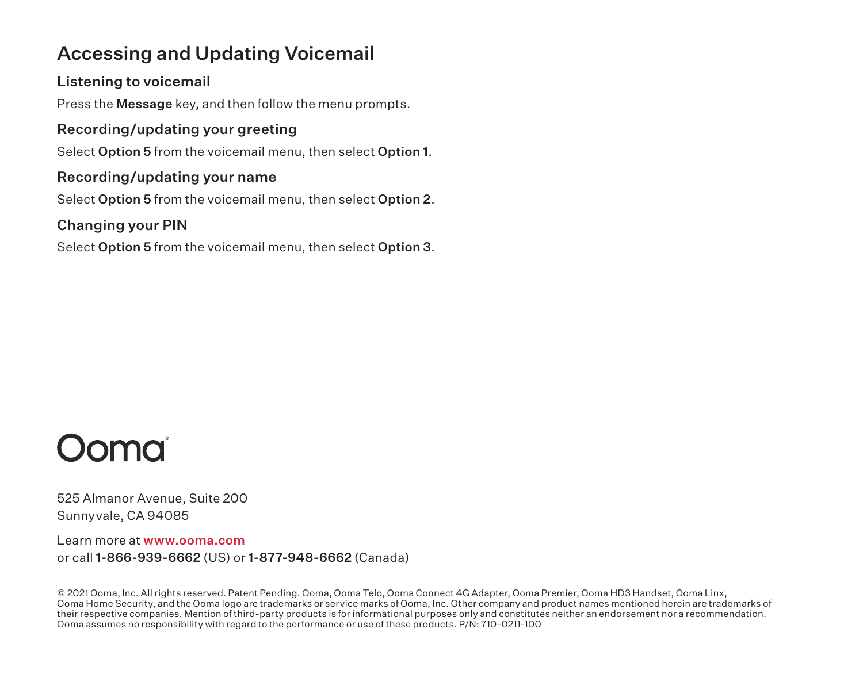## Accessing and Updating Voicemail

#### Listening to voicemail

Press the Message key, and then follow the menu prompts.

#### Recording/updating your greeting

Select Option 5 from the voicemail menu, then select Option 1.

#### Recording/updating your name

Select Option 5 from the voicemail menu, then select Option 2.

#### Changing your PIN

Select Option 5 from the voicemail menu, then select Option 3.



525 Almanor Avenue, Suite 200 Sunnyvale, CA 94085

Learn more at www.ooma.com or call 1-866-939-6662 (US) or 1-877-948-6662 (Canada)

© 2021 Ooma, Inc. All rights reserved. Patent Pending. Ooma, Ooma Telo, Ooma Connect 4G Adapter, Ooma Premier, Ooma HD3 Handset, Ooma Linx, Ooma Home Security, and the Ooma logo are trademarks or service marks of Ooma, Inc. Other company and product names mentioned herein are trademarks of their respective companies. Mention of third-party products is for informational purposes only and constitutes neither an endorsement nor a recommendation. Ooma assumes no responsibility with regard to the performance or use of these products. P/N: 710-0211-100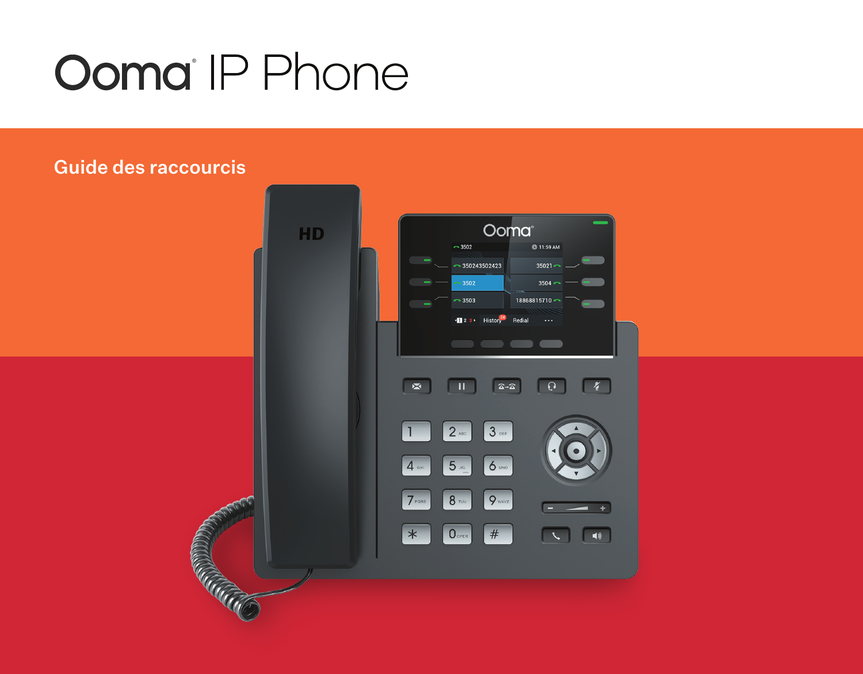# **Ooma** IP Phone

## Guide des raccourcis

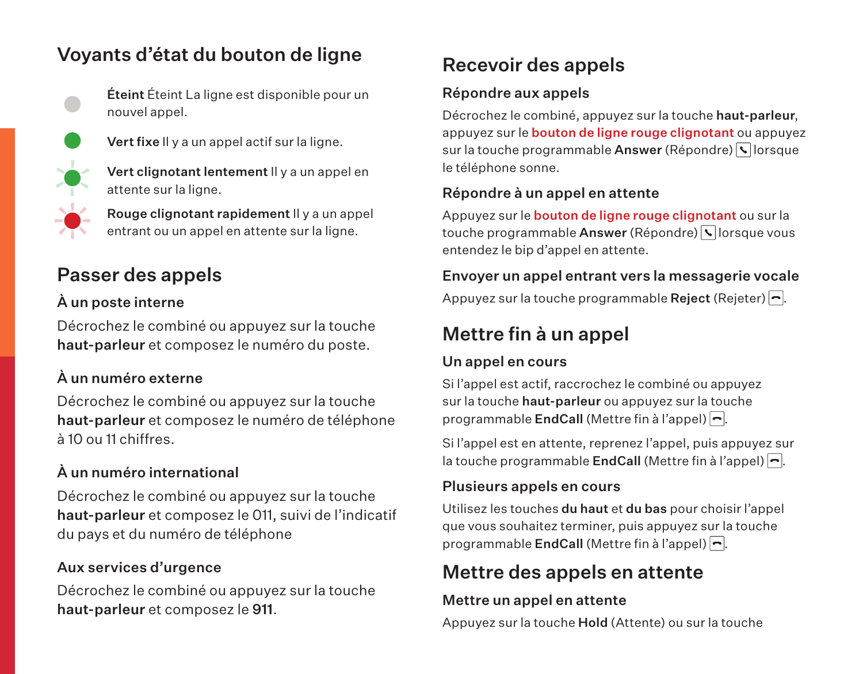## Voyants d'état du bouton de ligne

Éteint Éteint La ligne est disponible pour un nouvel appel.



Vert fixe Il y a un appel actif sur la ligne.



Vert clignotant lentement Il y a un appel en attente sur la ligne.

Rouge clignotant rapidement Il y a un appel entrant ou un appel en attente sur la ligne.

## Passer des appels

## À un poste interne

Décrochez le combiné ou appuyez sur la touche haut-parleur et composez le numéro du poste.

## À un numéro externe

Décrochez le combiné ou appuyez sur la touche haut-parleur et composez le numéro de téléphone à 10 ou 11 chiffres.

## À un numéro international

Décrochez le combiné ou appuyez sur la touche haut-parleur et composez le 011, suivi de l'indicatif du pays et du numéro de téléphone

## Aux services d'urgence

Décrochez le combiné ou appuyez sur la touche haut-parleur et composez le 911.

## Recevoir des appels

## Répondre aux appels

Décrochez le combiné, appuyez sur la touche haut-parleur, appuyez sur le bouton de ligne rouge clignotant ou appuyez sur la touche programmable Answer (Répondre) lorsque le téléphone sonne.

## Répondre à un appel en attente

Appuyez sur le bouton de ligne rouge clignotant ou sur la touche programmable Answer (Répondre) **V**lorsque vous entendez le bip d'appel en attente.

## Envoyer un appel entrant vers la messagerie vocale

Appuyez sur la touche programmable Reject (Rejeter)  $\boxed{\neg}$ .

## Mettre fin à un appel

#### Un appel en cours

Si l'appel est actif, raccrochez le combiné ou appuyez sur la touche haut-parleur ou appuyez sur la touche programmable EndCall (Mettre fin à l'appel) -.

Si l'appel est en attente, reprenez l'appel, puis appuyez sur la touche programmable **EndCall** (Mettre fin à l'appel)  $\left| \right|$ .

## Plusieurs appels en cours

Utilisez les touches du haut et du bas pour choisir l'appel que vous souhaitez terminer, puis appuyez sur la touche programmable **EndCall** (Mettre fin à l'appel)  $\Box$ .

## Mettre des appels en attente

#### Mettre un appel en attente

Appuyez sur la touche Hold (Attente) ou sur la touche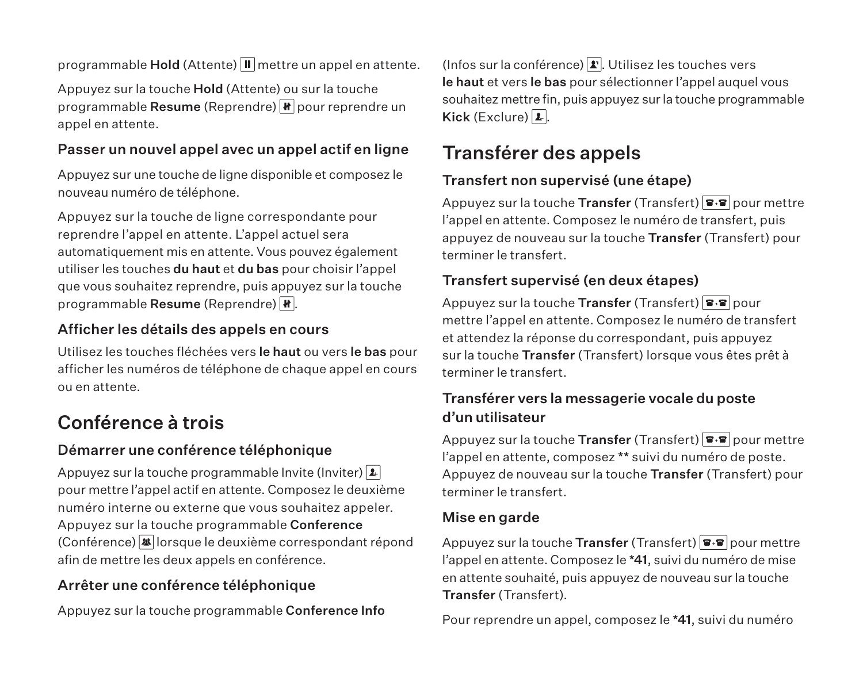programmable Hold (Attente)  $\blacksquare$  mettre un appel en attente.

Appuyez sur la touche Hold (Attente) ou sur la touche programmable Resume (Reprendre)  $\boxed{\text{H}}$  pour reprendre un appel en attente.

#### Passer un nouvel appel avec un appel actif en ligne

Appuyez sur une touche de ligne disponible et composez le nouveau numéro de téléphone.

Appuyez sur la touche de ligne correspondante pour reprendre l'appel en attente. L'appel actuel sera automatiquement mis en attente. Vous pouvez également utiliser les touches du haut et du bas pour choisir l'appel que vous souhaitez reprendre, puis appuyez sur la touche programmable Resume (Reprendre)  $\overline{\mathbf{H}}$ .

#### Afficher les détails des appels en cours

Utilisez les touches fléchées vers le haut ou vers le bas pour afficher les numéros de téléphone de chaque appel en cours ou en attente.

## Conférence à trois

#### Démarrer une conférence téléphonique

Appuyez sur la touche programmable Invite (Inviter)  $\boxed{\mathbf{1}}$ pour mettre l'appel actif en attente. Composez le deuxième numéro interne ou externe que vous souhaitez appeler. Appuyez sur la touche programmable Conference  $(Conférence)$  lorsque le deuxième correspondant répond afin de mettre les deux appels en conférence.

## Arrêter une conférence téléphonique

Appuyez sur la touche programmable Conference Info

(Infos sur la conférence)  $\boxed{\cdot}$ . Utilisez les touches vers le haut et vers le bas pour sélectionner l'appel auquel vous souhaitez mettre fin, puis appuyez sur la touche programmable Kick (Exclure)  $\boxed{1}$ .

## Transférer des appels

## Transfert non supervisé (une étape)

Appuyez sur la touche Transfer (Transfert)  $\boxed{\bullet\bullet}$  pour mettre l'appel en attente. Composez le numéro de transfert, puis appuyez de nouveau sur la touche Transfer (Transfert) pour terminer le transfert.

## Transfert supervisé (en deux étapes)

Appuyez sur la touche Transfer (Transfert)  $\boxed{\bullet\bullet}$  pour mettre l'appel en attente. Composez le numéro de transfert et attendez la réponse du correspondant, puis appuyez sur la touche Transfer (Transfert) lorsque vous êtes prêt à terminer le transfert.

## Transférer vers la messagerie vocale du poste d'un utilisateur

Appuyez sur la touche Transfer (Transfert)  $\blacktriangleright$   $\blacktriangleright$   $\blacktriangleright$   $\blacktriangleright$   $\blacktriangleright$   $\blacktriangleright$   $\blacktriangleright$   $\blacktriangleright$   $\blacktriangleright$   $\blacktriangleright$   $\blacktriangleright$   $\blacktriangleright$   $\blacktriangleright$   $\blacktriangleright$   $\blacktriangleright$   $\blacktriangleright$   $\blacktriangleright$   $\blacktriangleright$   $\blacktriangleright$   $\blacktriangleright$   $\blacktriangleright$   $\blacktriangleright$   $\$ l'appel en attente, composez \*\* suivi du numéro de poste. Appuyez de nouveau sur la touche Transfer (Transfert) pour terminer le transfert.

#### Mise en garde

Appuyez sur la touche Transfer (Transfert)  $\boxed{\bullet\bullet}$  pour mettre l'appel en attente. Composez le \*41, suivi du numéro de mise en attente souhaité, puis appuyez de nouveau sur la touche Transfer (Transfert).

Pour reprendre un appel, composez le \*41, suivi du numéro